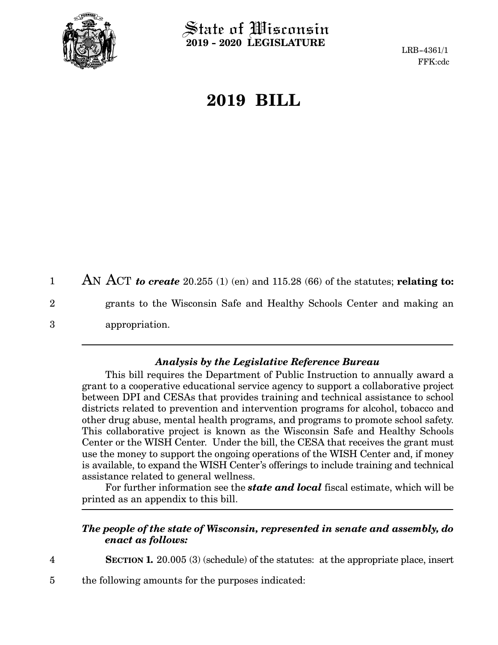

 $\operatorname{\mathsf{State}}$  of Wisconsin **2019 - 2020 LEGISLATURE**

LRB-4361/1 FFK:cdc

## **2019 BILL**

AN ACT *to create* 20.255 (1) (en) and 115.28 (66) of the statutes; **relating to:** grants to the Wisconsin Safe and Healthy Schools Center and making an appropriation. 1 2 3

## *Analysis by the Legislative Reference Bureau*

This bill requires the Department of Public Instruction to annually award a grant to a cooperative educational service agency to support a collaborative project between DPI and CESAs that provides training and technical assistance to school districts related to prevention and intervention programs for alcohol, tobacco and other drug abuse, mental health programs, and programs to promote school safety. This collaborative project is known as the Wisconsin Safe and Healthy Schools Center or the WISH Center. Under the bill, the CESA that receives the grant must use the money to support the ongoing operations of the WISH Center and, if money is available, to expand the WISH Center's offerings to include training and technical assistance related to general wellness.

For further information see the *state and local* fiscal estimate, which will be printed as an appendix to this bill.

## *The people of the state of Wisconsin, represented in senate and assembly, do enact as follows:*

4

**SECTION 1.** 20.005 (3) (schedule) of the statutes: at the appropriate place, insert

the following amounts for the purposes indicated: 5